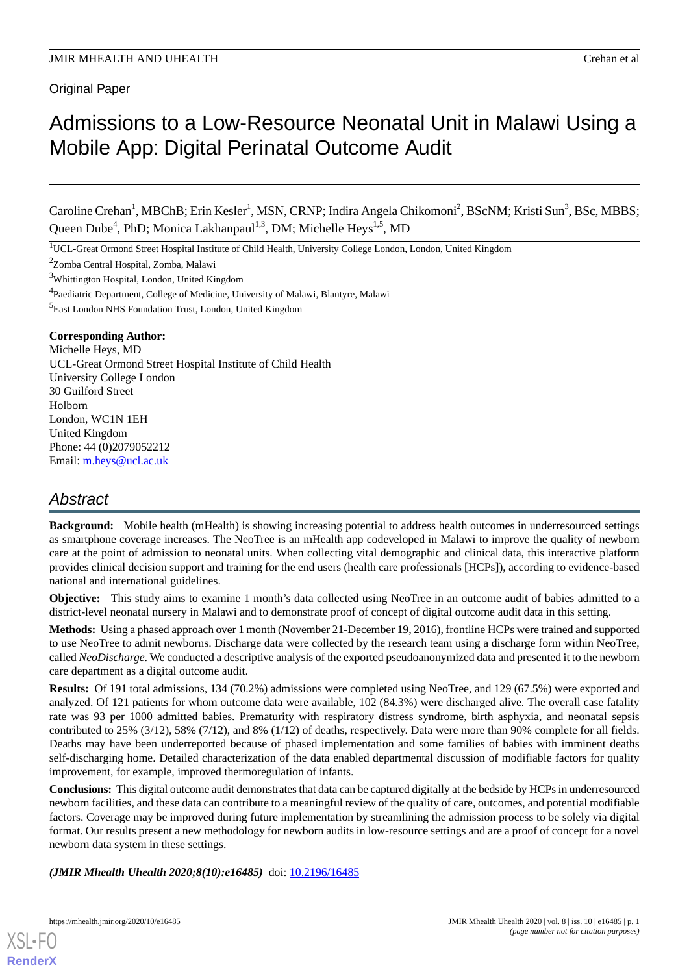# Admissions to a Low-Resource Neonatal Unit in Malawi Using a Mobile App: Digital Perinatal Outcome Audit

Caroline Crehan<sup>1</sup>, MBChB; Erin Kesler<sup>1</sup>, MSN, CRNP; Indira Angela Chikomoni<sup>2</sup>, BScNM; Kristi Sun<sup>3</sup>, BSc, MBBS; Queen Dube<sup>4</sup>, PhD; Monica Lakhanpaul<sup>1,3</sup>, DM; Michelle Heys<sup>1,5</sup>, MD

<sup>1</sup>UCL-Great Ormond Street Hospital Institute of Child Health, University College London, London, United Kingdom

<sup>2</sup>Zomba Central Hospital, Zomba, Malawi

<sup>3</sup>Whittington Hospital, London, United Kingdom

<sup>4</sup>Paediatric Department, College of Medicine, University of Malawi, Blantyre, Malawi

<sup>5</sup>East London NHS Foundation Trust, London, United Kingdom

#### **Corresponding Author:**

Michelle Heys, MD UCL-Great Ormond Street Hospital Institute of Child Health University College London 30 Guilford Street Holborn London, WC1N 1EH United Kingdom Phone: 44 (0)2079052212 Email: [m.heys@ucl.ac.uk](mailto:m.heys@ucl.ac.uk)

# *Abstract*

**Background:** Mobile health (mHealth) is showing increasing potential to address health outcomes in underresourced settings as smartphone coverage increases. The NeoTree is an mHealth app codeveloped in Malawi to improve the quality of newborn care at the point of admission to neonatal units. When collecting vital demographic and clinical data, this interactive platform provides clinical decision support and training for the end users (health care professionals [HCPs]), according to evidence-based national and international guidelines.

**Objective:** This study aims to examine 1 month's data collected using NeoTree in an outcome audit of babies admitted to a district-level neonatal nursery in Malawi and to demonstrate proof of concept of digital outcome audit data in this setting.

**Methods:** Using a phased approach over 1 month (November 21-December 19, 2016), frontline HCPs were trained and supported to use NeoTree to admit newborns. Discharge data were collected by the research team using a discharge form within NeoTree, called *NeoDischarge*. We conducted a descriptive analysis of the exported pseudoanonymized data and presented it to the newborn care department as a digital outcome audit.

**Results:** Of 191 total admissions, 134 (70.2%) admissions were completed using NeoTree, and 129 (67.5%) were exported and analyzed. Of 121 patients for whom outcome data were available, 102 (84.3%) were discharged alive. The overall case fatality rate was 93 per 1000 admitted babies. Prematurity with respiratory distress syndrome, birth asphyxia, and neonatal sepsis contributed to 25% (3/12), 58% (7/12), and 8% (1/12) of deaths, respectively. Data were more than 90% complete for all fields. Deaths may have been underreported because of phased implementation and some families of babies with imminent deaths self-discharging home. Detailed characterization of the data enabled departmental discussion of modifiable factors for quality improvement, for example, improved thermoregulation of infants.

**Conclusions:** This digital outcome audit demonstrates that data can be captured digitally at the bedside by HCPs in underresourced newborn facilities, and these data can contribute to a meaningful review of the quality of care, outcomes, and potential modifiable factors. Coverage may be improved during future implementation by streamlining the admission process to be solely via digital format. Our results present a new methodology for newborn audits in low-resource settings and are a proof of concept for a novel newborn data system in these settings.

*(JMIR Mhealth Uhealth 2020;8(10):e16485)* doi: [10.2196/16485](http://dx.doi.org/10.2196/16485)

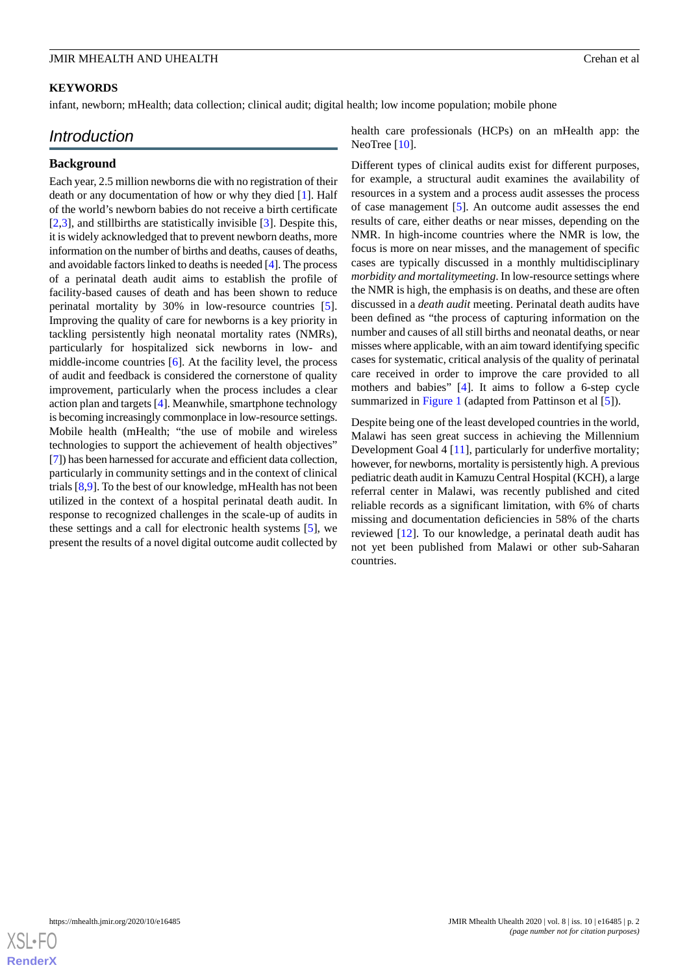## **KEYWORDS**

infant, newborn; mHealth; data collection; clinical audit; digital health; low income population; mobile phone

## *Introduction*

#### **Background**

Each year, 2.5 million newborns die with no registration of their death or any documentation of how or why they died [\[1\]](#page-13-0). Half of the world's newborn babies do not receive a birth certificate [[2](#page-13-1)[,3](#page-13-2)], and stillbirths are statistically invisible [[3\]](#page-13-2). Despite this, it is widely acknowledged that to prevent newborn deaths, more information on the number of births and deaths, causes of deaths, and avoidable factors linked to deaths is needed [\[4](#page-13-3)]. The process of a perinatal death audit aims to establish the profile of facility-based causes of death and has been shown to reduce perinatal mortality by 30% in low-resource countries [[5\]](#page-13-4). Improving the quality of care for newborns is a key priority in tackling persistently high neonatal mortality rates (NMRs), particularly for hospitalized sick newborns in low- and middle-income countries [[6\]](#page-13-5). At the facility level, the process of audit and feedback is considered the cornerstone of quality improvement, particularly when the process includes a clear action plan and targets [\[4](#page-13-3)]. Meanwhile, smartphone technology is becoming increasingly commonplace in low-resource settings. Mobile health (mHealth; "the use of mobile and wireless technologies to support the achievement of health objectives" [[7\]](#page-13-6)) has been harnessed for accurate and efficient data collection, particularly in community settings and in the context of clinical trials [[8](#page-13-7)[,9](#page-13-8)]. To the best of our knowledge, mHealth has not been utilized in the context of a hospital perinatal death audit. In response to recognized challenges in the scale-up of audits in these settings and a call for electronic health systems [[5\]](#page-13-4), we present the results of a novel digital outcome audit collected by

health care professionals (HCPs) on an mHealth app: the NeoTree [\[10](#page-13-9)].

Different types of clinical audits exist for different purposes, for example, a structural audit examines the availability of resources in a system and a process audit assesses the process of case management [\[5](#page-13-4)]. An outcome audit assesses the end results of care, either deaths or near misses, depending on the NMR. In high-income countries where the NMR is low, the focus is more on near misses, and the management of specific cases are typically discussed in a monthly multidisciplinary *morbidity and mortalitymeeting*. In low-resource settings where the NMR is high, the emphasis is on deaths, and these are often discussed in a *death audit* meeting. Perinatal death audits have been defined as "the process of capturing information on the number and causes of all still births and neonatal deaths, or near misses where applicable, with an aim toward identifying specific cases for systematic, critical analysis of the quality of perinatal care received in order to improve the care provided to all mothers and babies" [[4\]](#page-13-3). It aims to follow a 6-step cycle summarized in [Figure 1](#page-2-0) (adapted from Pattinson et al [[5\]](#page-13-4)).

Despite being one of the least developed countries in the world, Malawi has seen great success in achieving the Millennium Development Goal 4 [\[11](#page-13-10)], particularly for underfive mortality; however, for newborns, mortality is persistently high. A previous pediatric death audit in Kamuzu Central Hospital (KCH), a large referral center in Malawi, was recently published and cited reliable records as a significant limitation, with 6% of charts missing and documentation deficiencies in 58% of the charts reviewed [\[12](#page-13-11)]. To our knowledge, a perinatal death audit has not yet been published from Malawi or other sub-Saharan countries.

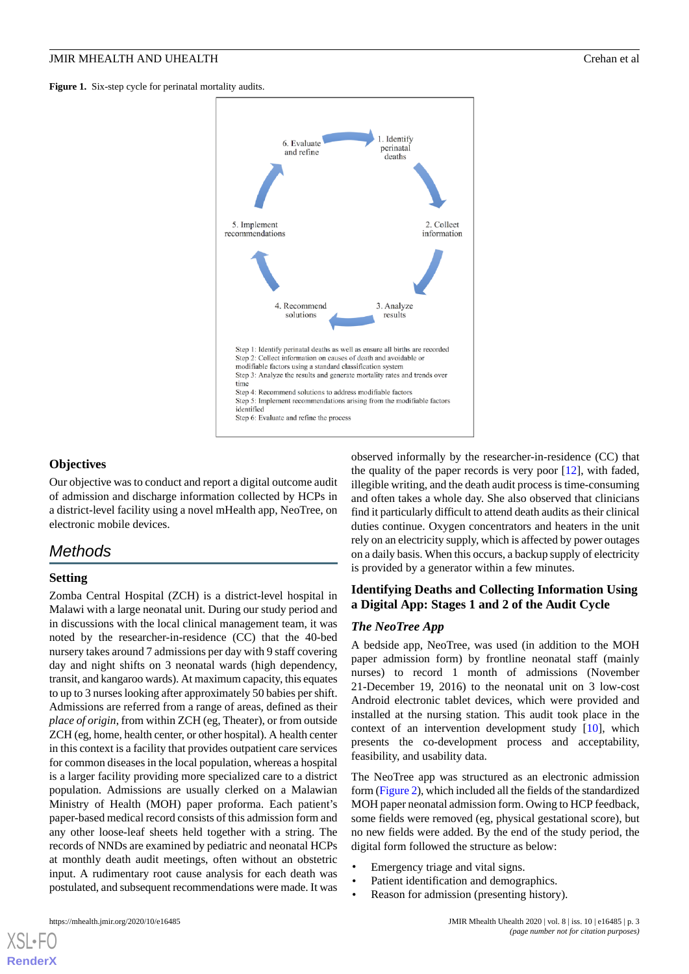<span id="page-2-0"></span>Figure 1. Six-step cycle for perinatal mortality audits.



### **Objectives**

Our objective was to conduct and report a digital outcome audit of admission and discharge information collected by HCPs in a district-level facility using a novel mHealth app, NeoTree, on electronic mobile devices.

# *Methods*

#### **Setting**

Zomba Central Hospital (ZCH) is a district-level hospital in Malawi with a large neonatal unit. During our study period and in discussions with the local clinical management team, it was noted by the researcher-in-residence (CC) that the 40-bed nursery takes around 7 admissions per day with 9 staff covering day and night shifts on 3 neonatal wards (high dependency, transit, and kangaroo wards). At maximum capacity, this equates to up to 3 nurses looking after approximately 50 babies per shift. Admissions are referred from a range of areas, defined as their *place of origin*, from within ZCH (eg, Theater), or from outside ZCH (eg, home, health center, or other hospital). A health center in this context is a facility that provides outpatient care services for common diseases in the local population, whereas a hospital is a larger facility providing more specialized care to a district population. Admissions are usually clerked on a Malawian Ministry of Health (MOH) paper proforma. Each patient's paper-based medical record consists of this admission form and any other loose-leaf sheets held together with a string. The records of NNDs are examined by pediatric and neonatal HCPs at monthly death audit meetings, often without an obstetric input. A rudimentary root cause analysis for each death was postulated, and subsequent recommendations were made. It was observed informally by the researcher-in-residence (CC) that the quality of the paper records is very poor  $[12]$  $[12]$ , with faded, illegible writing, and the death audit process is time-consuming and often takes a whole day. She also observed that clinicians find it particularly difficult to attend death audits as their clinical duties continue. Oxygen concentrators and heaters in the unit rely on an electricity supply, which is affected by power outages on a daily basis. When this occurs, a backup supply of electricity is provided by a generator within a few minutes.

## **Identifying Deaths and Collecting Information Using a Digital App: Stages 1 and 2 of the Audit Cycle**

## *The NeoTree App*

A bedside app, NeoTree, was used (in addition to the MOH paper admission form) by frontline neonatal staff (mainly nurses) to record 1 month of admissions (November 21-December 19, 2016) to the neonatal unit on 3 low-cost Android electronic tablet devices, which were provided and installed at the nursing station. This audit took place in the context of an intervention development study [\[10](#page-13-9)], which presents the co-development process and acceptability, feasibility, and usability data.

The NeoTree app was structured as an electronic admission form [\(Figure 2](#page-3-0)), which included all the fields of the standardized MOH paper neonatal admission form. Owing to HCP feedback, some fields were removed (eg, physical gestational score), but no new fields were added. By the end of the study period, the digital form followed the structure as below:

- Emergency triage and vital signs.
- Patient identification and demographics.
- Reason for admission (presenting history).

[XSL](http://www.w3.org/Style/XSL)•FO **[RenderX](http://www.renderx.com/)**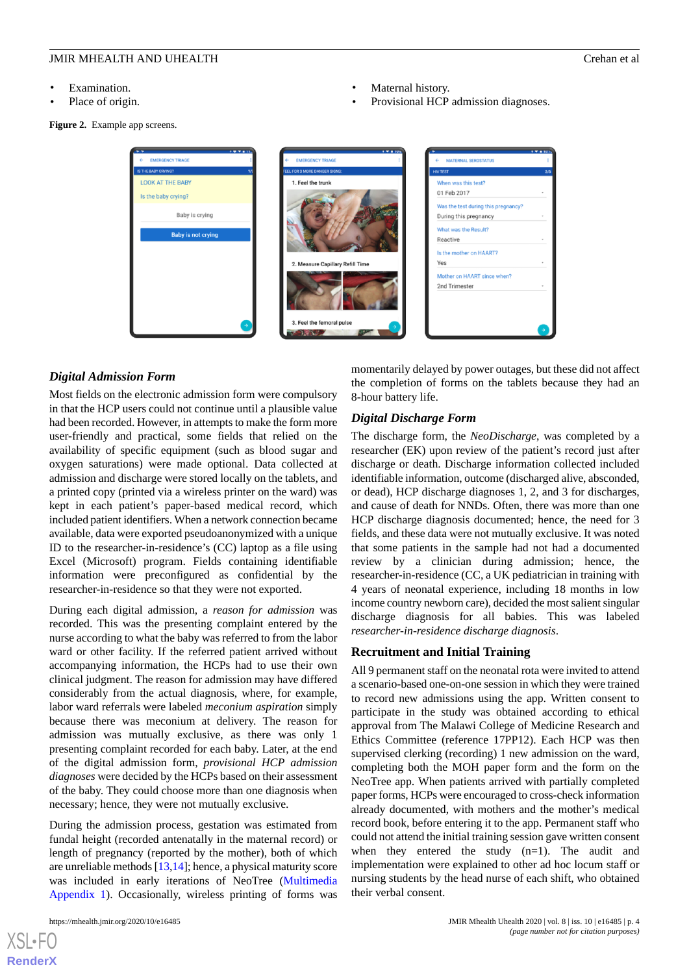- Examination.
- Place of origin.

<span id="page-3-0"></span>**Figure 2.** Example app screens.

- Maternal history.
- Provisional HCP admission diagnoses.



## *Digital Admission Form*

Most fields on the electronic admission form were compulsory in that the HCP users could not continue until a plausible value had been recorded. However, in attempts to make the form more user-friendly and practical, some fields that relied on the availability of specific equipment (such as blood sugar and oxygen saturations) were made optional. Data collected at admission and discharge were stored locally on the tablets, and a printed copy (printed via a wireless printer on the ward) was kept in each patient's paper-based medical record, which included patient identifiers. When a network connection became available, data were exported pseudoanonymized with a unique ID to the researcher-in-residence's (CC) laptop as a file using Excel (Microsoft) program. Fields containing identifiable information were preconfigured as confidential by the researcher-in-residence so that they were not exported.

During each digital admission, a *reason for admission* was recorded. This was the presenting complaint entered by the nurse according to what the baby was referred to from the labor ward or other facility. If the referred patient arrived without accompanying information, the HCPs had to use their own clinical judgment. The reason for admission may have differed considerably from the actual diagnosis, where, for example, labor ward referrals were labeled *meconium aspiration* simply because there was meconium at delivery. The reason for admission was mutually exclusive, as there was only 1 presenting complaint recorded for each baby. Later, at the end of the digital admission form, *provisional HCP admission diagnoses* were decided by the HCPs based on their assessment of the baby. They could choose more than one diagnosis when necessary; hence, they were not mutually exclusive.

During the admission process, gestation was estimated from fundal height (recorded antenatally in the maternal record) or length of pregnancy (reported by the mother), both of which are unreliable methods [[13](#page-13-12)[,14\]](#page-13-13); hence, a physical maturity score was included in early iterations of NeoTree ([Multimedia](#page-12-0) [Appendix 1\)](#page-12-0). Occasionally, wireless printing of forms was

[XSL](http://www.w3.org/Style/XSL)•FO **[RenderX](http://www.renderx.com/)**

momentarily delayed by power outages, but these did not affect the completion of forms on the tablets because they had an 8-hour battery life.

## *Digital Discharge Form*

The discharge form, the *NeoDischarge*, was completed by a researcher (EK) upon review of the patient's record just after discharge or death. Discharge information collected included identifiable information, outcome (discharged alive, absconded, or dead), HCP discharge diagnoses 1, 2, and 3 for discharges, and cause of death for NNDs. Often, there was more than one HCP discharge diagnosis documented; hence, the need for 3 fields, and these data were not mutually exclusive. It was noted that some patients in the sample had not had a documented review by a clinician during admission; hence, the researcher-in-residence (CC, a UK pediatrician in training with 4 years of neonatal experience, including 18 months in low income country newborn care), decided the most salient singular discharge diagnosis for all babies. This was labeled *researcher-in-residence discharge diagnosis*.

### **Recruitment and Initial Training**

All 9 permanent staff on the neonatal rota were invited to attend a scenario-based one-on-one session in which they were trained to record new admissions using the app. Written consent to participate in the study was obtained according to ethical approval from The Malawi College of Medicine Research and Ethics Committee (reference 17PP12). Each HCP was then supervised clerking (recording) 1 new admission on the ward, completing both the MOH paper form and the form on the NeoTree app. When patients arrived with partially completed paper forms, HCPs were encouraged to cross-check information already documented, with mothers and the mother's medical record book, before entering it to the app. Permanent staff who could not attend the initial training session gave written consent when they entered the study (n=1). The audit and implementation were explained to other ad hoc locum staff or nursing students by the head nurse of each shift, who obtained their verbal consent.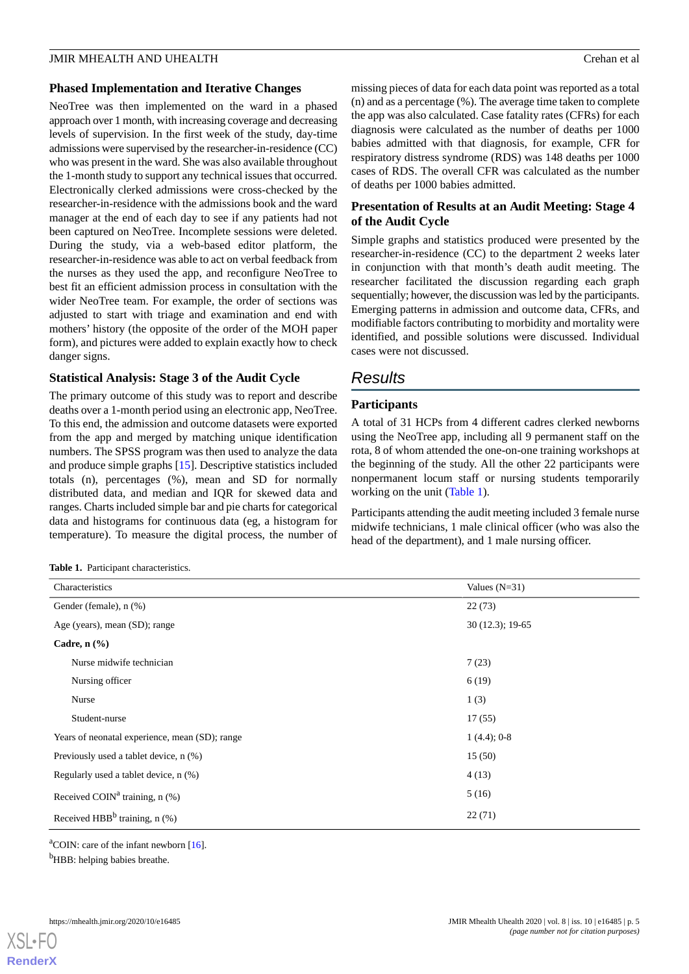#### **Phased Implementation and Iterative Changes**

NeoTree was then implemented on the ward in a phased approach over 1 month, with increasing coverage and decreasing levels of supervision. In the first week of the study, day-time admissions were supervised by the researcher-in-residence (CC) who was present in the ward. She was also available throughout the 1-month study to support any technical issues that occurred. Electronically clerked admissions were cross-checked by the researcher-in-residence with the admissions book and the ward manager at the end of each day to see if any patients had not been captured on NeoTree. Incomplete sessions were deleted. During the study, via a web-based editor platform, the researcher-in-residence was able to act on verbal feedback from the nurses as they used the app, and reconfigure NeoTree to best fit an efficient admission process in consultation with the wider NeoTree team. For example, the order of sections was adjusted to start with triage and examination and end with mothers' history (the opposite of the order of the MOH paper form), and pictures were added to explain exactly how to check danger signs.

## **Statistical Analysis: Stage 3 of the Audit Cycle**

The primary outcome of this study was to report and describe deaths over a 1-month period using an electronic app, NeoTree. To this end, the admission and outcome datasets were exported from the app and merged by matching unique identification numbers. The SPSS program was then used to analyze the data and produce simple graphs [[15\]](#page-13-14). Descriptive statistics included totals (n), percentages (%), mean and SD for normally distributed data, and median and IQR for skewed data and ranges. Charts included simple bar and pie charts for categorical data and histograms for continuous data (eg, a histogram for temperature). To measure the digital process, the number of

<span id="page-4-0"></span>**Table 1.** Participant characteristics.

missing pieces of data for each data point was reported as a total (n) and as a percentage (%). The average time taken to complete the app was also calculated. Case fatality rates (CFRs) for each diagnosis were calculated as the number of deaths per 1000 babies admitted with that diagnosis, for example, CFR for respiratory distress syndrome (RDS) was 148 deaths per 1000 cases of RDS. The overall CFR was calculated as the number of deaths per 1000 babies admitted.

## **Presentation of Results at an Audit Meeting: Stage 4 of the Audit Cycle**

Simple graphs and statistics produced were presented by the researcher-in-residence (CC) to the department 2 weeks later in conjunction with that month's death audit meeting. The researcher facilitated the discussion regarding each graph sequentially; however, the discussion was led by the participants. Emerging patterns in admission and outcome data, CFRs, and modifiable factors contributing to morbidity and mortality were identified, and possible solutions were discussed. Individual cases were not discussed.

# *Results*

## **Participants**

A total of 31 HCPs from 4 different cadres clerked newborns using the NeoTree app, including all 9 permanent staff on the rota, 8 of whom attended the one-on-one training workshops at the beginning of the study. All the other 22 participants were nonpermanent locum staff or nursing students temporarily working on the unit ([Table 1](#page-4-0)).

Participants attending the audit meeting included 3 female nurse midwife technicians, 1 male clinical officer (who was also the head of the department), and 1 male nursing officer.

| Values $(N=31)$   |
|-------------------|
| 22(73)            |
| $30(12.3); 19-65$ |
|                   |
| 7(23)             |
| 6(19)             |
| 1(3)              |
| 17(55)            |
| $1(4.4); 0-8$     |
| 15(50)            |
| 4(13)             |
| 5(16)             |
| 22(71)            |
|                   |

 ${}^{\text{a}}$ COIN: care of the infant newborn [\[16\]](#page-14-0).

<sup>b</sup>HBB: helping babies breathe.

[XSL](http://www.w3.org/Style/XSL)•FO **[RenderX](http://www.renderx.com/)**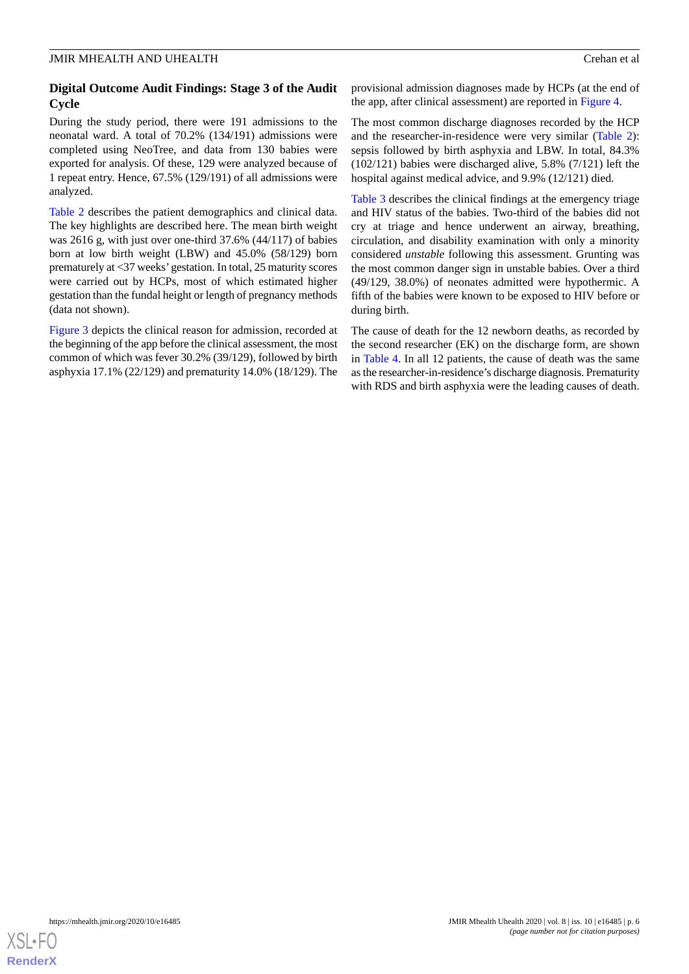## **Digital Outcome Audit Findings: Stage 3 of the Audit Cycle**

During the study period, there were 191 admissions to the neonatal ward. A total of 70.2% (134/191) admissions were completed using NeoTree, and data from 130 babies were exported for analysis. Of these, 129 were analyzed because of 1 repeat entry. Hence, 67.5% (129/191) of all admissions were analyzed.

[Table 2](#page-6-0) describes the patient demographics and clinical data. The key highlights are described here. The mean birth weight was 2616 g, with just over one-third 37.6% (44/117) of babies born at low birth weight (LBW) and 45.0% (58/129) born prematurely at <37 weeks'gestation. In total, 25 maturity scores were carried out by HCPs, most of which estimated higher gestation than the fundal height or length of pregnancy methods (data not shown).

[Figure 3](#page-7-0) depicts the clinical reason for admission, recorded at the beginning of the app before the clinical assessment, the most common of which was fever 30.2% (39/129), followed by birth asphyxia 17.1% (22/129) and prematurity 14.0% (18/129). The provisional admission diagnoses made by HCPs (at the end of the app, after clinical assessment) are reported in [Figure 4](#page-7-1).

The most common discharge diagnoses recorded by the HCP and the researcher-in-residence were very similar ([Table 2\)](#page-6-0): sepsis followed by birth asphyxia and LBW. In total, 84.3% (102/121) babies were discharged alive, 5.8% (7/121) left the hospital against medical advice, and 9.9% (12/121) died.

[Table 3](#page-8-0) describes the clinical findings at the emergency triage and HIV status of the babies. Two-third of the babies did not cry at triage and hence underwent an airway, breathing, circulation, and disability examination with only a minority considered *unstable* following this assessment. Grunting was the most common danger sign in unstable babies. Over a third (49/129, 38.0%) of neonates admitted were hypothermic. A fifth of the babies were known to be exposed to HIV before or during birth.

The cause of death for the 12 newborn deaths, as recorded by the second researcher (EK) on the discharge form, are shown in [Table 4](#page-9-0). In all 12 patients, the cause of death was the same as the researcher-in-residence's discharge diagnosis. Prematurity with RDS and birth asphyxia were the leading causes of death.

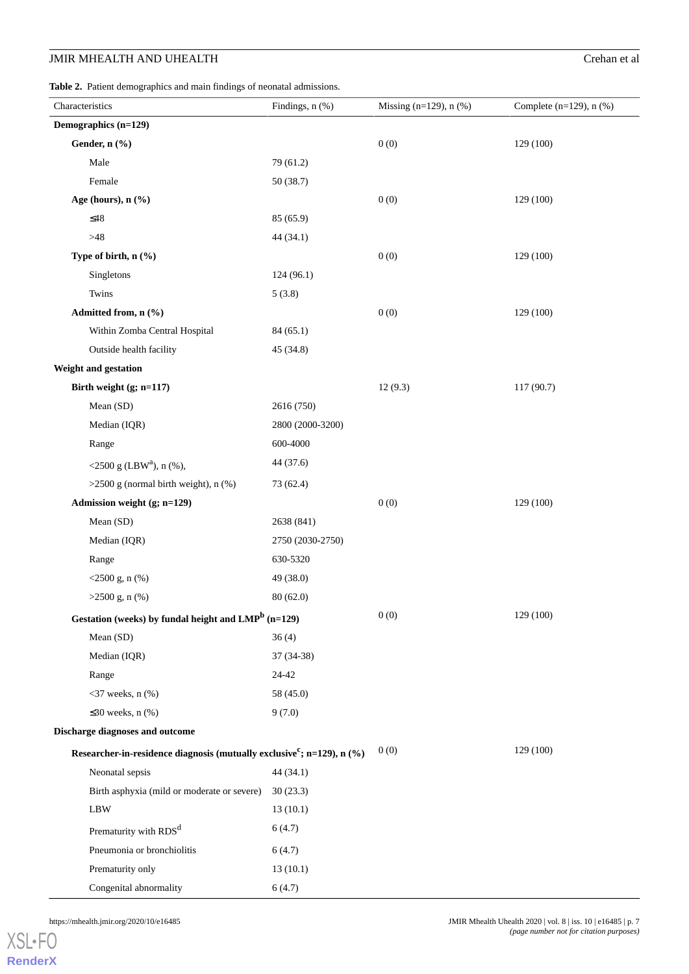<span id="page-6-0"></span>**Table 2.** Patient demographics and main findings of neonatal admissions.

| Characteristics                                                                       |                                             | Findings, n (%)  | Missing $(n=129)$ , n $(\%)$ | Complete $(n=129)$ , n $(\%)$ |
|---------------------------------------------------------------------------------------|---------------------------------------------|------------------|------------------------------|-------------------------------|
| Demographics (n=129)                                                                  |                                             |                  |                              |                               |
|                                                                                       | Gender, n (%)                               |                  | 0(0)                         | 129 (100)                     |
|                                                                                       | Male                                        | 79 (61.2)        |                              |                               |
|                                                                                       | Female                                      | 50 (38.7)        |                              |                               |
|                                                                                       | Age (hours), n (%)                          |                  | 0(0)                         | 129 (100)                     |
| $\leq48$                                                                              |                                             | 85 (65.9)        |                              |                               |
| >48                                                                                   |                                             | 44 (34.1)        |                              |                               |
|                                                                                       | Type of birth, n (%)                        |                  | 0(0)                         | 129 (100)                     |
|                                                                                       | Singletons                                  | 124 (96.1)       |                              |                               |
|                                                                                       | Twins                                       | 5(3.8)           |                              |                               |
|                                                                                       | Admitted from, n (%)                        |                  | 0(0)                         | 129 (100)                     |
|                                                                                       | Within Zomba Central Hospital               | 84(65.1)         |                              |                               |
|                                                                                       | Outside health facility                     | 45 (34.8)        |                              |                               |
|                                                                                       | Weight and gestation                        |                  |                              |                               |
|                                                                                       | Birth weight $(g; n=117)$                   |                  | 12(9.3)                      | 117 (90.7)                    |
|                                                                                       | Mean (SD)                                   | 2616 (750)       |                              |                               |
|                                                                                       | Median (IQR)                                | 2800 (2000-3200) |                              |                               |
|                                                                                       | Range                                       | 600-4000         |                              |                               |
|                                                                                       | <2500 g (LBW <sup>a</sup> ), n (%),         | 44 (37.6)        |                              |                               |
|                                                                                       | $>2500$ g (normal birth weight), n $(\%)$   | 73 (62.4)        |                              |                               |
|                                                                                       | Admission weight (g; n=129)                 |                  | 0(0)                         | 129 (100)                     |
|                                                                                       | Mean (SD)                                   | 2638 (841)       |                              |                               |
|                                                                                       | Median (IQR)                                | 2750 (2030-2750) |                              |                               |
|                                                                                       | Range                                       | 630-5320         |                              |                               |
|                                                                                       | $<$ 2500 g, n (%)                           | 49 (38.0)        |                              |                               |
|                                                                                       | $>2500$ g, n $(\%)$                         | 80(62.0)         |                              |                               |
| Gestation (weeks) by fundal height and LMP <sup>b</sup> (n=129)                       |                                             |                  | 0(0)                         | 129 (100)                     |
|                                                                                       | Mean (SD)                                   | 36(4)            |                              |                               |
|                                                                                       | Median (IQR)                                | 37 (34-38)       |                              |                               |
|                                                                                       | Range                                       | 24-42            |                              |                               |
|                                                                                       | $<$ 37 weeks, n $(\%)$                      | 58 (45.0)        |                              |                               |
|                                                                                       | $\leq$ 30 weeks, n (%)                      | 9(7.0)           |                              |                               |
|                                                                                       | Discharge diagnoses and outcome             |                  |                              |                               |
| Researcher-in-residence diagnosis (mutually exclusive <sup>c</sup> ; n=129), n $(\%)$ |                                             | 0(0)             | 129 (100)                    |                               |
|                                                                                       | Neonatal sepsis                             | 44 (34.1)        |                              |                               |
|                                                                                       | Birth asphyxia (mild or moderate or severe) | 30(23.3)         |                              |                               |
|                                                                                       | $\rm LBW$                                   | 13(10.1)         |                              |                               |
|                                                                                       | Prematurity with RDS <sup>d</sup>           | 6(4.7)           |                              |                               |
|                                                                                       | Pneumonia or bronchiolitis                  | 6(4.7)           |                              |                               |
|                                                                                       | Prematurity only                            | 13(10.1)         |                              |                               |
|                                                                                       | Congenital abnormality                      | 6(4.7)           |                              |                               |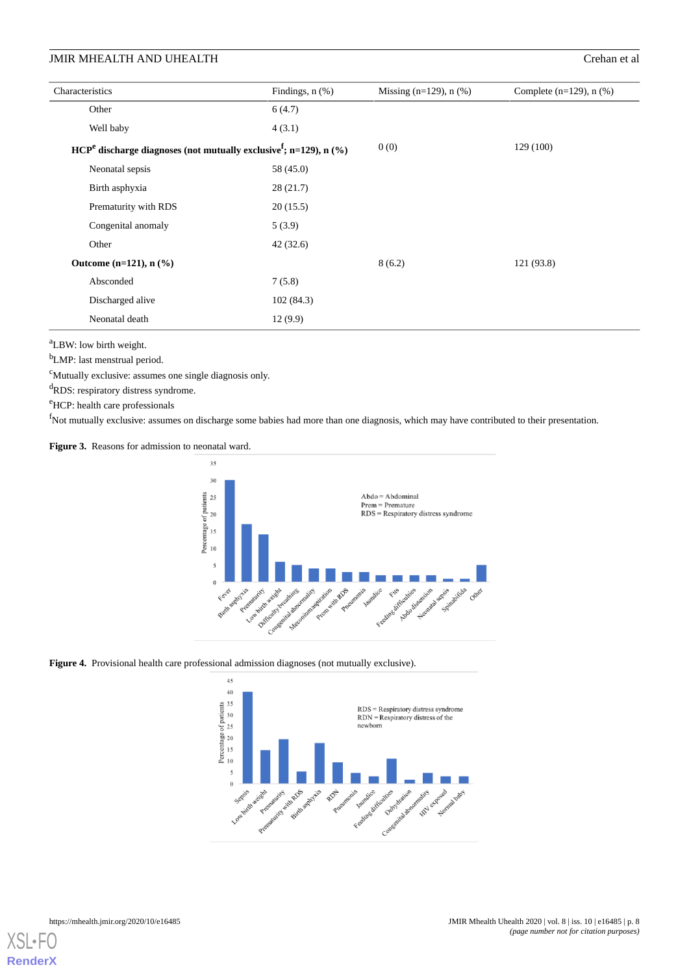| Characteristics                                                                         |                                       | Findings, $n$ $(\%)$ | Missing $(n=129)$ , n $(\%)$ | Complete $(n=129)$ , n $(\%)$ |
|-----------------------------------------------------------------------------------------|---------------------------------------|----------------------|------------------------------|-------------------------------|
|                                                                                         | Other                                 | 6(4.7)               |                              |                               |
|                                                                                         | Well baby                             | 4(3.1)               |                              |                               |
| $\text{HCP}^e$ discharge diagnoses (not mutually exclusive <sup>f</sup> ; n=129), n (%) |                                       |                      | 0(0)                         | 129 (100)                     |
|                                                                                         | Neonatal sepsis                       | 58 (45.0)            |                              |                               |
|                                                                                         | Birth asphyxia                        | 28(21.7)             |                              |                               |
|                                                                                         | Prematurity with RDS                  | 20(15.5)             |                              |                               |
|                                                                                         | Congenital anomaly                    | 5(3.9)               |                              |                               |
|                                                                                         | Other                                 | 42(32.6)             |                              |                               |
|                                                                                         | Outcome $(n=121)$ , n $(\frac{9}{6})$ |                      | 8(6.2)                       | 121 (93.8)                    |
|                                                                                         | Absconded                             | 7(5.8)               |                              |                               |
|                                                                                         | Discharged alive                      | 102(84.3)            |                              |                               |
|                                                                                         | Neonatal death                        | 12(9.9)              |                              |                               |

<sup>a</sup>LBW: low birth weight.

<sup>b</sup>LMP: last menstrual period.

 $c$ Mutually exclusive: assumes one single diagnosis only.

<sup>d</sup>RDS: respiratory distress syndrome.

<span id="page-7-0"></span><sup>e</sup>HCP: health care professionals

<sup>f</sup>Not mutually exclusive: assumes on discharge some babies had more than one diagnosis, which may have contributed to their presentation.

**Figure 3.** Reasons for admission to neonatal ward.



<span id="page-7-1"></span>Figure 4. Provisional health care professional admission diagnoses (not mutually exclusive).



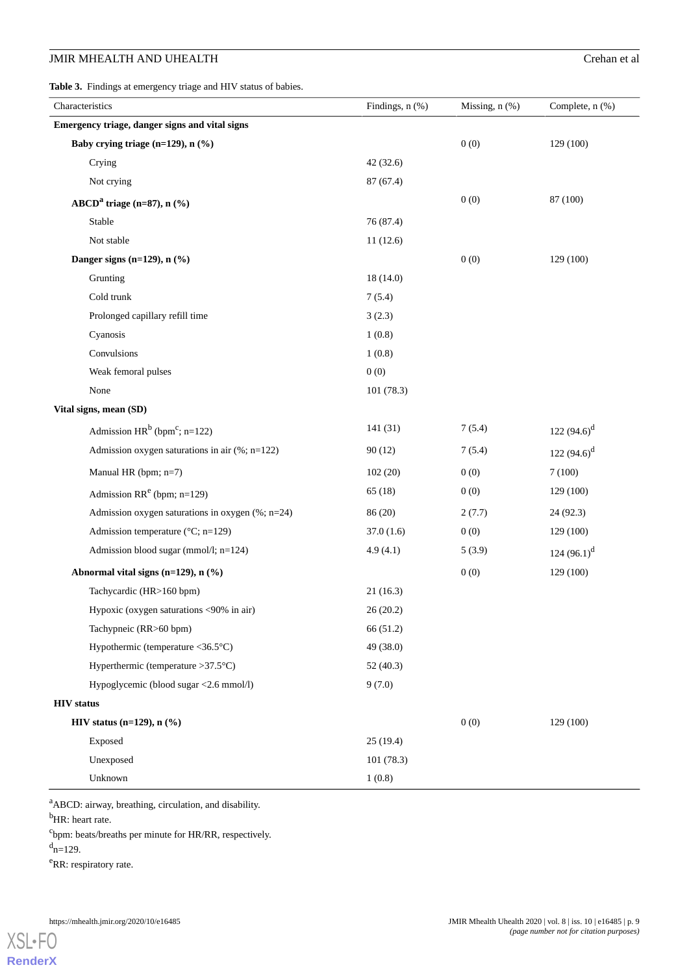<span id="page-8-0"></span>**Table 3.** Findings at emergency triage and HIV status of babies.

| Characteristics                                    | Findings, $n$ $%$ | Missing, $n$ $(\%)$ | Complete, $n$ $%$ ) |
|----------------------------------------------------|-------------------|---------------------|---------------------|
| Emergency triage, danger signs and vital signs     |                   |                     |                     |
| Baby crying triage (n=129), n (%)                  |                   | 0(0)                | 129 (100)           |
| Crying                                             | 42(32.6)          |                     |                     |
| Not crying                                         | 87 (67.4)         |                     |                     |
| ABCD <sup>a</sup> triage (n=87), $n$ (%)           |                   | 0(0)                | 87 (100)            |
| Stable                                             | 76 (87.4)         |                     |                     |
| Not stable                                         | 11(12.6)          |                     |                     |
| Danger signs (n=129), $n$ (%)                      |                   | 0(0)                | 129 (100)           |
| Grunting                                           | 18(14.0)          |                     |                     |
| Cold trunk                                         | 7(5.4)            |                     |                     |
| Prolonged capillary refill time                    | 3(2.3)            |                     |                     |
| Cyanosis                                           | 1(0.8)            |                     |                     |
| Convulsions                                        | 1(0.8)            |                     |                     |
| Weak femoral pulses                                | 0(0)              |                     |                     |
| None                                               | 101(78.3)         |                     |                     |
| Vital signs, mean (SD)                             |                   |                     |                     |
| Admission $HR^b$ (bpm <sup>c</sup> ; n=122)        | 141(31)           | 7(5.4)              | 122 $(94.6)^d$      |
| Admission oxygen saturations in air (%; n=122)     | 90(12)            | 7(5.4)              | 122 $(94.6)^d$      |
| Manual HR (bpm; n=7)                               | 102(20)           | 0(0)                | 7(100)              |
| Admission RR <sup>e</sup> (bpm; $n=129$ )          | 65(18)            | 0(0)                | 129 (100)           |
| Admission oxygen saturations in oxygen (%; n=24)   | 86 (20)           | 2(7.7)              | 24 (92.3)           |
| Admission temperature (°C; n=129)                  | 37.0(1.6)         | 0(0)                | 129 (100)           |
| Admission blood sugar (mmol/l; n=124)              | 4.9(4.1)          | 5(3.9)              | 124 $(96.1)^d$      |
| Abnormal vital signs (n=129), n (%)                |                   | 0(0)                | 129 (100)           |
| Tachycardic (HR>160 bpm)                           | 21(16.3)          |                     |                     |
| Hypoxic (oxygen saturations <90% in air)           | 26(20.2)          |                     |                     |
| Tachypneic (RR>60 bpm)                             | 66 (51.2)         |                     |                     |
| Hypothermic (temperature $\langle 36.5^{\circ}$ C) | 49 (38.0)         |                     |                     |
| Hyperthermic (temperature $>37.5$ °C)              | 52(40.3)          |                     |                     |
| Hypoglycemic (blood sugar <2.6 mmol/l)             | 9(7.0)            |                     |                     |
| <b>HIV</b> status                                  |                   |                     |                     |
| <b>HIV</b> status $(n=129)$ , $n$ $%$ )            |                   | 0(0)                | 129 (100)           |
| Exposed                                            | 25(19.4)          |                     |                     |
| Unexposed                                          | 101(78.3)         |                     |                     |
| Unknown                                            | 1(0.8)            |                     |                     |

<sup>a</sup>ABCD: airway, breathing, circulation, and disability.

<sup>b</sup>HR: heart rate.

<sup>c</sup>bpm: beats/breaths per minute for HR/RR, respectively.

 $d_{n=129}$ .

[XSL](http://www.w3.org/Style/XSL)•FO **[RenderX](http://www.renderx.com/)**

<sup>e</sup>RR: respiratory rate.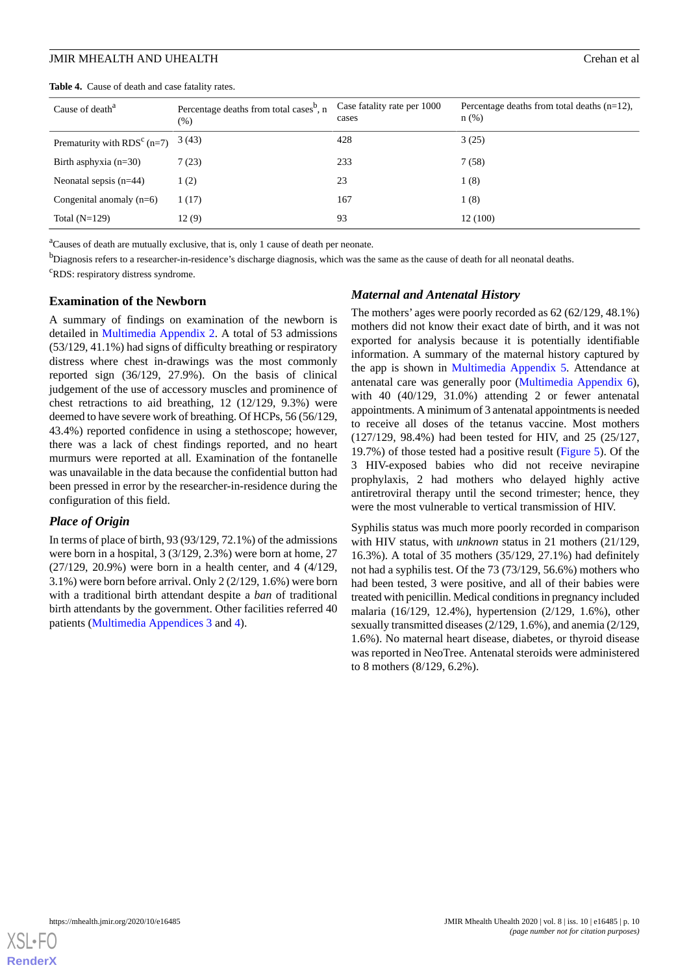<span id="page-9-0"></span>**Table 4.** Cause of death and case fatality rates.

| Cause of death <sup>a</sup>   | Percentage deaths from total cases <sup>b</sup> , n<br>$(\% )$ | Case fatality rate per 1000<br>cases | Percentage deaths from total deaths $(n=12)$ ,<br>$n$ (%) |
|-------------------------------|----------------------------------------------------------------|--------------------------------------|-----------------------------------------------------------|
| Prematurity with $RDSc$ (n=7) | 3 (43)                                                         | 428                                  | 3(25)                                                     |
| Birth asphyxia $(n=30)$       | 7(23)                                                          | 233                                  | 7(58)                                                     |
| Neonatal sepsis $(n=44)$      | 1(2)                                                           | 23                                   | 1(8)                                                      |
| Congenital anomaly $(n=6)$    | (17)                                                           | 167                                  | 1(8)                                                      |
| Total $(N=129)$               | 12(9)                                                          | 93                                   | 12(100)                                                   |

<sup>a</sup>Causes of death are mutually exclusive, that is, only 1 cause of death per neonate.

<sup>b</sup>Diagnosis refers to a researcher-in-residence's discharge diagnosis, which was the same as the cause of death for all neonatal deaths. <sup>c</sup>RDS: respiratory distress syndrome.

#### **Examination of the Newborn**

A summary of findings on examination of the newborn is detailed in [Multimedia Appendix 2.](#page-12-1) A total of 53 admissions (53/129, 41.1%) had signs of difficulty breathing or respiratory distress where chest in-drawings was the most commonly reported sign (36/129, 27.9%). On the basis of clinical judgement of the use of accessory muscles and prominence of chest retractions to aid breathing, 12 (12/129, 9.3%) were deemed to have severe work of breathing. Of HCPs, 56 (56/129, 43.4%) reported confidence in using a stethoscope; however, there was a lack of chest findings reported, and no heart murmurs were reported at all. Examination of the fontanelle was unavailable in the data because the confidential button had been pressed in error by the researcher-in-residence during the configuration of this field.

#### *Place of Origin*

In terms of place of birth, 93 (93/129, 72.1%) of the admissions were born in a hospital, 3 (3/129, 2.3%) were born at home, 27 (27/129, 20.9%) were born in a health center, and 4 (4/129, 3.1%) were born before arrival. Only 2 (2/129, 1.6%) were born with a traditional birth attendant despite a *ban* of traditional birth attendants by the government. Other facilities referred 40 patients ([Multimedia Appendices 3](#page-12-2) and [4\)](#page-12-3).

#### *Maternal and Antenatal History*

The mothers' ages were poorly recorded as 62 (62/129, 48.1%) mothers did not know their exact date of birth, and it was not exported for analysis because it is potentially identifiable information. A summary of the maternal history captured by the app is shown in [Multimedia Appendix 5.](#page-12-4) Attendance at antenatal care was generally poor ([Multimedia Appendix 6\)](#page-13-15), with 40 (40/129, 31.0%) attending 2 or fewer antenatal appointments. A minimum of 3 antenatal appointments is needed to receive all doses of the tetanus vaccine. Most mothers (127/129, 98.4%) had been tested for HIV, and 25 (25/127, 19.7%) of those tested had a positive result [\(Figure 5](#page-10-0)). Of the 3 HIV-exposed babies who did not receive nevirapine prophylaxis, 2 had mothers who delayed highly active antiretroviral therapy until the second trimester; hence, they were the most vulnerable to vertical transmission of HIV.

Syphilis status was much more poorly recorded in comparison with HIV status, with *unknown* status in 21 mothers (21/129, 16.3%). A total of 35 mothers (35/129, 27.1%) had definitely not had a syphilis test. Of the 73 (73/129, 56.6%) mothers who had been tested, 3 were positive, and all of their babies were treated with penicillin. Medical conditions in pregnancy included malaria (16/129, 12.4%), hypertension (2/129, 1.6%), other sexually transmitted diseases (2/129, 1.6%), and anemia (2/129, 1.6%). No maternal heart disease, diabetes, or thyroid disease was reported in NeoTree. Antenatal steroids were administered to 8 mothers (8/129, 6.2%).

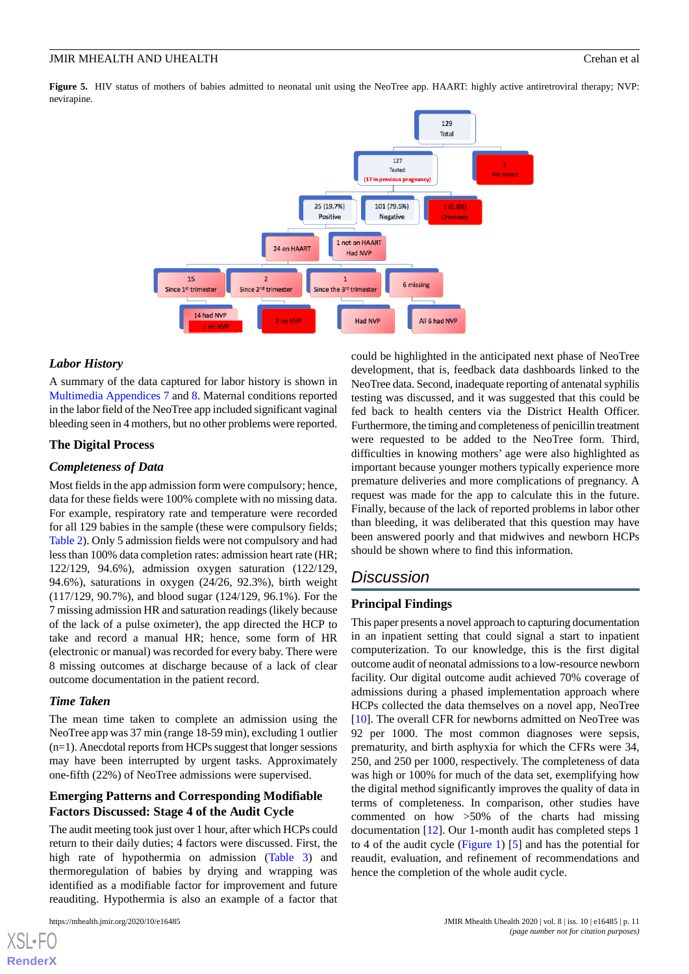<span id="page-10-0"></span>Figure 5. HIV status of mothers of babies admitted to neonatal unit using the NeoTree app. HAART: highly active antiretroviral therapy; NVP: nevirapine.



## *Labor History*

A summary of the data captured for labor history is shown in [Multimedia Appendices 7](#page-13-16) and [8.](#page-13-17) Maternal conditions reported in the labor field of the NeoTree app included significant vaginal bleeding seen in 4 mothers, but no other problems were reported.

#### **The Digital Process**

#### *Completeness of Data*

Most fields in the app admission form were compulsory; hence, data for these fields were 100% complete with no missing data. For example, respiratory rate and temperature were recorded for all 129 babies in the sample (these were compulsory fields; [Table 2\)](#page-6-0). Only 5 admission fields were not compulsory and had less than 100% data completion rates: admission heart rate (HR; 122/129, 94.6%), admission oxygen saturation (122/129, 94.6%), saturations in oxygen (24/26, 92.3%), birth weight (117/129, 90.7%), and blood sugar (124/129, 96.1%). For the 7 missing admission HR and saturation readings (likely because of the lack of a pulse oximeter), the app directed the HCP to take and record a manual HR; hence, some form of HR (electronic or manual) was recorded for every baby. There were 8 missing outcomes at discharge because of a lack of clear outcome documentation in the patient record.

## *Time Taken*

The mean time taken to complete an admission using the NeoTree app was 37 min (range 18-59 min), excluding 1 outlier (n=1). Anecdotal reports from HCPs suggest that longer sessions may have been interrupted by urgent tasks. Approximately one-fifth (22%) of NeoTree admissions were supervised.

## **Emerging Patterns and Corresponding Modifiable Factors Discussed: Stage 4 of the Audit Cycle**

The audit meeting took just over 1 hour, after which HCPs could return to their daily duties; 4 factors were discussed. First, the high rate of hypothermia on admission [\(Table 3](#page-8-0)) and thermoregulation of babies by drying and wrapping was identified as a modifiable factor for improvement and future reauditing. Hypothermia is also an example of a factor that

 $X$ SL•F **[RenderX](http://www.renderx.com/)** could be highlighted in the anticipated next phase of NeoTree development, that is, feedback data dashboards linked to the NeoTree data. Second, inadequate reporting of antenatal syphilis testing was discussed, and it was suggested that this could be fed back to health centers via the District Health Officer. Furthermore, the timing and completeness of penicillin treatment were requested to be added to the NeoTree form. Third, difficulties in knowing mothers' age were also highlighted as important because younger mothers typically experience more premature deliveries and more complications of pregnancy. A request was made for the app to calculate this in the future. Finally, because of the lack of reported problems in labor other than bleeding, it was deliberated that this question may have been answered poorly and that midwives and newborn HCPs should be shown where to find this information.

# *Discussion*

### **Principal Findings**

This paper presents a novel approach to capturing documentation in an inpatient setting that could signal a start to inpatient computerization. To our knowledge, this is the first digital outcome audit of neonatal admissions to a low-resource newborn facility. Our digital outcome audit achieved 70% coverage of admissions during a phased implementation approach where HCPs collected the data themselves on a novel app, NeoTree [[10\]](#page-13-9). The overall CFR for newborns admitted on NeoTree was 92 per 1000. The most common diagnoses were sepsis, prematurity, and birth asphyxia for which the CFRs were 34, 250, and 250 per 1000, respectively. The completeness of data was high or 100% for much of the data set, exemplifying how the digital method significantly improves the quality of data in terms of completeness. In comparison, other studies have commented on how >50% of the charts had missing documentation [\[12](#page-13-11)]. Our 1-month audit has completed steps 1 to 4 of the audit cycle [\(Figure 1](#page-2-0)) [[5\]](#page-13-4) and has the potential for reaudit, evaluation, and refinement of recommendations and hence the completion of the whole audit cycle.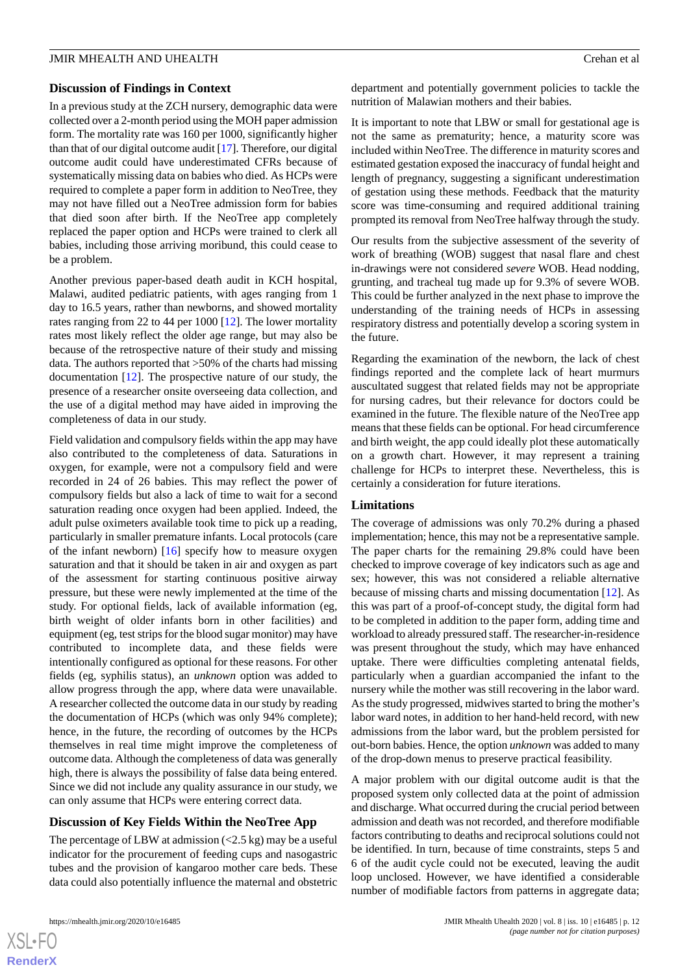## **Discussion of Findings in Context**

In a previous study at the ZCH nursery, demographic data were collected over a 2-month period using the MOH paper admission form. The mortality rate was 160 per 1000, significantly higher than that of our digital outcome audit [[17\]](#page-14-1). Therefore, our digital outcome audit could have underestimated CFRs because of systematically missing data on babies who died. As HCPs were required to complete a paper form in addition to NeoTree, they may not have filled out a NeoTree admission form for babies that died soon after birth. If the NeoTree app completely replaced the paper option and HCPs were trained to clerk all babies, including those arriving moribund, this could cease to be a problem.

Another previous paper-based death audit in KCH hospital, Malawi, audited pediatric patients, with ages ranging from 1 day to 16.5 years, rather than newborns, and showed mortality rates ranging from 22 to 44 per 1000 [\[12](#page-13-11)]. The lower mortality rates most likely reflect the older age range, but may also be because of the retrospective nature of their study and missing data. The authors reported that >50% of the charts had missing documentation [[12\]](#page-13-11). The prospective nature of our study, the presence of a researcher onsite overseeing data collection, and the use of a digital method may have aided in improving the completeness of data in our study.

Field validation and compulsory fields within the app may have also contributed to the completeness of data. Saturations in oxygen, for example, were not a compulsory field and were recorded in 24 of 26 babies. This may reflect the power of compulsory fields but also a lack of time to wait for a second saturation reading once oxygen had been applied. Indeed, the adult pulse oximeters available took time to pick up a reading, particularly in smaller premature infants. Local protocols (care of the infant newborn) [[16\]](#page-14-0) specify how to measure oxygen saturation and that it should be taken in air and oxygen as part of the assessment for starting continuous positive airway pressure, but these were newly implemented at the time of the study. For optional fields, lack of available information (eg, birth weight of older infants born in other facilities) and equipment (eg, test strips for the blood sugar monitor) may have contributed to incomplete data, and these fields were intentionally configured as optional for these reasons. For other fields (eg, syphilis status), an *unknown* option was added to allow progress through the app, where data were unavailable. A researcher collected the outcome data in our study by reading the documentation of HCPs (which was only 94% complete); hence, in the future, the recording of outcomes by the HCPs themselves in real time might improve the completeness of outcome data. Although the completeness of data was generally high, there is always the possibility of false data being entered. Since we did not include any quality assurance in our study, we can only assume that HCPs were entering correct data.

## **Discussion of Key Fields Within the NeoTree App**

The percentage of LBW at admission  $\left($  < 2.5 kg) may be a useful indicator for the procurement of feeding cups and nasogastric tubes and the provision of kangaroo mother care beds. These data could also potentially influence the maternal and obstetric department and potentially government policies to tackle the nutrition of Malawian mothers and their babies.

It is important to note that LBW or small for gestational age is not the same as prematurity; hence, a maturity score was included within NeoTree. The difference in maturity scores and estimated gestation exposed the inaccuracy of fundal height and length of pregnancy, suggesting a significant underestimation of gestation using these methods. Feedback that the maturity score was time-consuming and required additional training prompted its removal from NeoTree halfway through the study.

Our results from the subjective assessment of the severity of work of breathing (WOB) suggest that nasal flare and chest in-drawings were not considered *severe* WOB. Head nodding, grunting, and tracheal tug made up for 9.3% of severe WOB. This could be further analyzed in the next phase to improve the understanding of the training needs of HCPs in assessing respiratory distress and potentially develop a scoring system in the future.

Regarding the examination of the newborn, the lack of chest findings reported and the complete lack of heart murmurs auscultated suggest that related fields may not be appropriate for nursing cadres, but their relevance for doctors could be examined in the future. The flexible nature of the NeoTree app means that these fields can be optional. For head circumference and birth weight, the app could ideally plot these automatically on a growth chart. However, it may represent a training challenge for HCPs to interpret these. Nevertheless, this is certainly a consideration for future iterations.

## **Limitations**

The coverage of admissions was only 70.2% during a phased implementation; hence, this may not be a representative sample. The paper charts for the remaining 29.8% could have been checked to improve coverage of key indicators such as age and sex; however, this was not considered a reliable alternative because of missing charts and missing documentation [[12\]](#page-13-11). As this was part of a proof-of-concept study, the digital form had to be completed in addition to the paper form, adding time and workload to already pressured staff. The researcher-in-residence was present throughout the study, which may have enhanced uptake. There were difficulties completing antenatal fields, particularly when a guardian accompanied the infant to the nursery while the mother was still recovering in the labor ward. As the study progressed, midwives started to bring the mother's labor ward notes, in addition to her hand-held record, with new admissions from the labor ward, but the problem persisted for out-born babies. Hence, the option *unknown* was added to many of the drop-down menus to preserve practical feasibility.

A major problem with our digital outcome audit is that the proposed system only collected data at the point of admission and discharge. What occurred during the crucial period between admission and death was not recorded, and therefore modifiable factors contributing to deaths and reciprocal solutions could not be identified. In turn, because of time constraints, steps 5 and 6 of the audit cycle could not be executed, leaving the audit loop unclosed. However, we have identified a considerable number of modifiable factors from patterns in aggregate data;

 $XS$ -FO **[RenderX](http://www.renderx.com/)**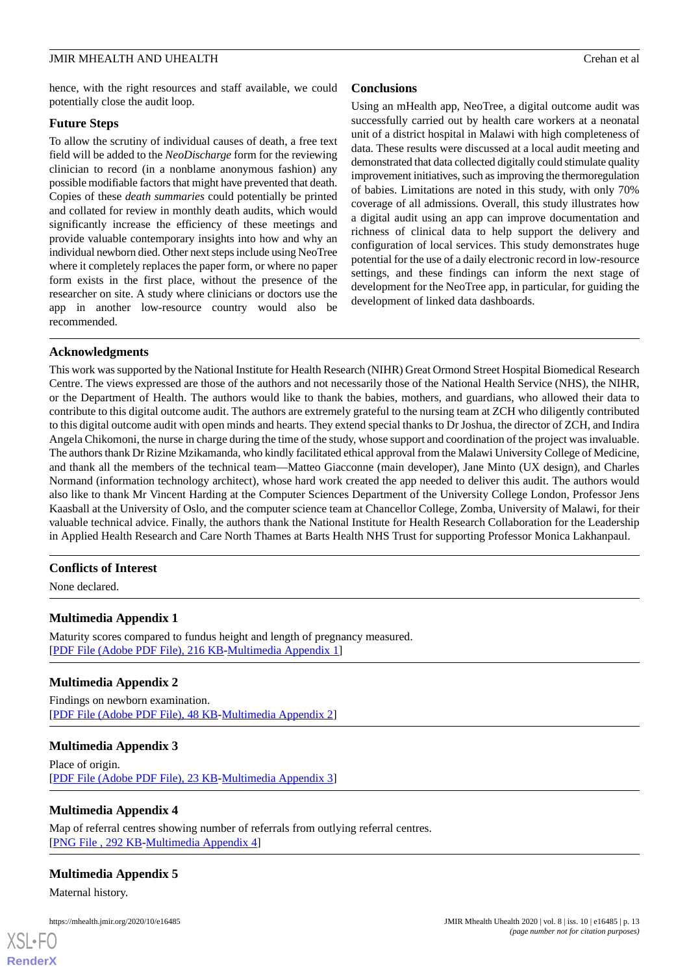hence, with the right resources and staff available, we could potentially close the audit loop.

#### **Future Steps**

To allow the scrutiny of individual causes of death, a free text field will be added to the *NeoDischarge* form for the reviewing clinician to record (in a nonblame anonymous fashion) any possible modifiable factors that might have prevented that death. Copies of these *death summaries* could potentially be printed and collated for review in monthly death audits, which would significantly increase the efficiency of these meetings and provide valuable contemporary insights into how and why an individual newborn died. Other next steps include using NeoTree where it completely replaces the paper form, or where no paper form exists in the first place, without the presence of the researcher on site. A study where clinicians or doctors use the app in another low-resource country would also be recommended.

## **Conclusions**

Using an mHealth app, NeoTree, a digital outcome audit was successfully carried out by health care workers at a neonatal unit of a district hospital in Malawi with high completeness of data. These results were discussed at a local audit meeting and demonstrated that data collected digitally could stimulate quality improvement initiatives, such as improving the thermoregulation of babies. Limitations are noted in this study, with only 70% coverage of all admissions. Overall, this study illustrates how a digital audit using an app can improve documentation and richness of clinical data to help support the delivery and configuration of local services. This study demonstrates huge potential for the use of a daily electronic record in low-resource settings, and these findings can inform the next stage of development for the NeoTree app, in particular, for guiding the development of linked data dashboards.

## **Acknowledgments**

This work was supported by the National Institute for Health Research (NIHR) Great Ormond Street Hospital Biomedical Research Centre. The views expressed are those of the authors and not necessarily those of the National Health Service (NHS), the NIHR, or the Department of Health. The authors would like to thank the babies, mothers, and guardians, who allowed their data to contribute to this digital outcome audit. The authors are extremely grateful to the nursing team at ZCH who diligently contributed to this digital outcome audit with open minds and hearts. They extend special thanks to Dr Joshua, the director of ZCH, and Indira Angela Chikomoni, the nurse in charge during the time of the study, whose support and coordination of the project was invaluable. The authors thank Dr Rizine Mzikamanda, who kindly facilitated ethical approval from the Malawi University College of Medicine, and thank all the members of the technical team—Matteo Giacconne (main developer), Jane Minto (UX design), and Charles Normand (information technology architect), whose hard work created the app needed to deliver this audit. The authors would also like to thank Mr Vincent Harding at the Computer Sciences Department of the University College London, Professor Jens Kaasball at the University of Oslo, and the computer science team at Chancellor College, Zomba, University of Malawi, for their valuable technical advice. Finally, the authors thank the National Institute for Health Research Collaboration for the Leadership in Applied Health Research and Care North Thames at Barts Health NHS Trust for supporting Professor Monica Lakhanpaul.

## <span id="page-12-0"></span>**Conflicts of Interest**

None declared.

## <span id="page-12-1"></span>**Multimedia Appendix 1**

Maturity scores compared to fundus height and length of pregnancy measured. [[PDF File \(Adobe PDF File\), 216 KB](https://jmir.org/api/download?alt_name=mhealth_v8i10e16485_app1.pdf&filename=3b156bfa7e3198a4527e1dbfc10498aa.pdf)-[Multimedia Appendix 1\]](https://jmir.org/api/download?alt_name=mhealth_v8i10e16485_app1.pdf&filename=3b156bfa7e3198a4527e1dbfc10498aa.pdf)

## <span id="page-12-2"></span>**Multimedia Appendix 2**

Findings on newborn examination. [[PDF File \(Adobe PDF File\), 48 KB](https://jmir.org/api/download?alt_name=mhealth_v8i10e16485_app2.pdf&filename=3eb42fb940b4ee58672a6d00d26f5067.pdf)-[Multimedia Appendix 2\]](https://jmir.org/api/download?alt_name=mhealth_v8i10e16485_app2.pdf&filename=3eb42fb940b4ee58672a6d00d26f5067.pdf)

## <span id="page-12-3"></span>**Multimedia Appendix 3**

<span id="page-12-4"></span>Place of origin. [[PDF File \(Adobe PDF File\), 23 KB](https://jmir.org/api/download?alt_name=mhealth_v8i10e16485_app3.pdf&filename=1cc9ec50ae7e9f82eb6498584d41d9b1.pdf)-[Multimedia Appendix 3\]](https://jmir.org/api/download?alt_name=mhealth_v8i10e16485_app3.pdf&filename=1cc9ec50ae7e9f82eb6498584d41d9b1.pdf)

### **Multimedia Appendix 4**

Map of referral centres showing number of referrals from outlying referral centres. [[PNG File , 292 KB-Multimedia Appendix 4](https://jmir.org/api/download?alt_name=mhealth_v8i10e16485_app4.png&filename=3b13269b6ab9f46a4e3fb678f96ffaa4.png)]

## **Multimedia Appendix 5**

Maternal history.

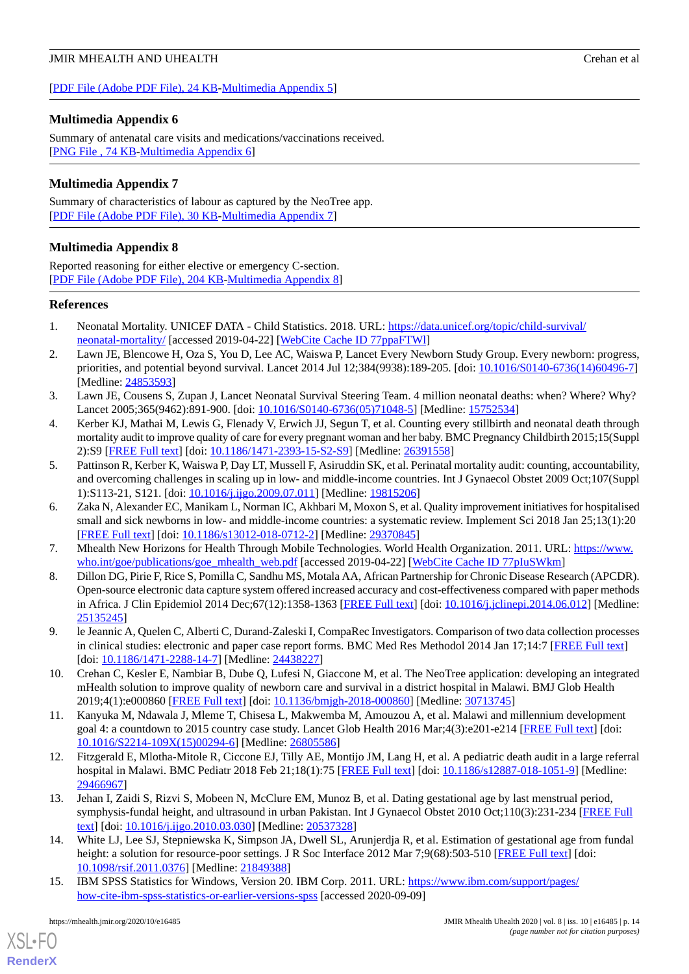## <span id="page-13-15"></span>**Multimedia Appendix 6**

Summary of antenatal care visits and medications/vaccinations received. [[PNG File , 74 KB-Multimedia Appendix 6](https://jmir.org/api/download?alt_name=mhealth_v8i10e16485_app6.png&filename=a64765fb4bed1381d3eaf3320ed69bda.png)]

## <span id="page-13-16"></span>**Multimedia Appendix 7**

<span id="page-13-17"></span>Summary of characteristics of labour as captured by the NeoTree app. [[PDF File \(Adobe PDF File\), 30 KB](https://jmir.org/api/download?alt_name=mhealth_v8i10e16485_app7.pdf&filename=443dc475636fae43d29e9545efa5545b.pdf)-[Multimedia Appendix 7\]](https://jmir.org/api/download?alt_name=mhealth_v8i10e16485_app7.pdf&filename=443dc475636fae43d29e9545efa5545b.pdf)

## **Multimedia Appendix 8**

Reported reasoning for either elective or emergency C-section. [[PDF File \(Adobe PDF File\), 204 KB](https://jmir.org/api/download?alt_name=mhealth_v8i10e16485_app8.pdf&filename=2a3af9ecdd35af01cab47717673748d4.pdf)-[Multimedia Appendix 8\]](https://jmir.org/api/download?alt_name=mhealth_v8i10e16485_app8.pdf&filename=2a3af9ecdd35af01cab47717673748d4.pdf)

## <span id="page-13-0"></span>**References**

- <span id="page-13-1"></span>1. Neonatal Mortality. UNICEF DATA - Child Statistics. 2018. URL: [https://data.unicef.org/topic/child-survival/](https://data.unicef.org/topic/child-survival/neonatal-mortality/) [neonatal-mortality/](https://data.unicef.org/topic/child-survival/neonatal-mortality/) [accessed 2019-04-22] [\[WebCite Cache ID 77ppaFTWl](http://www.webcitation.org/

                                77ppaFTWl)]
- <span id="page-13-2"></span>2. Lawn JE, Blencowe H, Oza S, You D, Lee AC, Waiswa P, Lancet Every Newborn Study Group. Every newborn: progress, priorities, and potential beyond survival. Lancet 2014 Jul 12;384(9938):189-205. [doi: [10.1016/S0140-6736\(14\)60496-7](http://dx.doi.org/10.1016/S0140-6736(14)60496-7)] [Medline: [24853593](http://www.ncbi.nlm.nih.gov/entrez/query.fcgi?cmd=Retrieve&db=PubMed&list_uids=24853593&dopt=Abstract)]
- <span id="page-13-3"></span>3. Lawn JE, Cousens S, Zupan J, Lancet Neonatal Survival Steering Team. 4 million neonatal deaths: when? Where? Why? Lancet 2005;365(9462):891-900. [doi: [10.1016/S0140-6736\(05\)71048-5](http://dx.doi.org/10.1016/S0140-6736(05)71048-5)] [Medline: [15752534](http://www.ncbi.nlm.nih.gov/entrez/query.fcgi?cmd=Retrieve&db=PubMed&list_uids=15752534&dopt=Abstract)]
- <span id="page-13-4"></span>4. Kerber KJ, Mathai M, Lewis G, Flenady V, Erwich JJ, Segun T, et al. Counting every stillbirth and neonatal death through mortality audit to improve quality of care for every pregnant woman and her baby. BMC Pregnancy Childbirth 2015;15(Suppl 2):S9 [\[FREE Full text](https://www.biomedcentral.com/1471-2393/15/S2/S9)] [doi: [10.1186/1471-2393-15-S2-S9](http://dx.doi.org/10.1186/1471-2393-15-S2-S9)] [Medline: [26391558](http://www.ncbi.nlm.nih.gov/entrez/query.fcgi?cmd=Retrieve&db=PubMed&list_uids=26391558&dopt=Abstract)]
- <span id="page-13-5"></span>5. Pattinson R, Kerber K, Waiswa P, Day LT, Mussell F, Asiruddin SK, et al. Perinatal mortality audit: counting, accountability, and overcoming challenges in scaling up in low- and middle-income countries. Int J Gynaecol Obstet 2009 Oct;107(Suppl 1):S113-21, S121. [doi: [10.1016/j.ijgo.2009.07.011](http://dx.doi.org/10.1016/j.ijgo.2009.07.011)] [Medline: [19815206\]](http://www.ncbi.nlm.nih.gov/entrez/query.fcgi?cmd=Retrieve&db=PubMed&list_uids=19815206&dopt=Abstract)
- <span id="page-13-7"></span><span id="page-13-6"></span>6. Zaka N, Alexander EC, Manikam L, Norman IC, Akhbari M, Moxon S, et al. Quality improvement initiatives for hospitalised small and sick newborns in low- and middle-income countries: a systematic review. Implement Sci 2018 Jan 25;13(1):20 [[FREE Full text](https://implementationscience.biomedcentral.com/articles/10.1186/s13012-018-0712-2)] [doi: [10.1186/s13012-018-0712-2\]](http://dx.doi.org/10.1186/s13012-018-0712-2) [Medline: [29370845](http://www.ncbi.nlm.nih.gov/entrez/query.fcgi?cmd=Retrieve&db=PubMed&list_uids=29370845&dopt=Abstract)]
- 7. Mhealth New Horizons for Health Through Mobile Technologies. World Health Organization. 2011. URL: [https://www.](https://www.who.int/goe/publications/goe_mhealth_web.pdf) [who.int/goe/publications/goe\\_mhealth\\_web.pdf](https://www.who.int/goe/publications/goe_mhealth_web.pdf) [accessed 2019-04-22] [\[WebCite Cache ID 77pIuSWkm](http://www.webcitation.org/

                                77pIuSWkm)]
- <span id="page-13-8"></span>8. Dillon DG, Pirie F, Rice S, Pomilla C, Sandhu MS, Motala AA, African Partnership for Chronic Disease Research (APCDR). Open-source electronic data capture system offered increased accuracy and cost-effectiveness compared with paper methods in Africa. J Clin Epidemiol 2014 Dec;67(12):1358-1363 [\[FREE Full text](https://linkinghub.elsevier.com/retrieve/pii/S0895-4356(14)00238-8)] [doi: [10.1016/j.jclinepi.2014.06.012\]](http://dx.doi.org/10.1016/j.jclinepi.2014.06.012) [Medline: [25135245](http://www.ncbi.nlm.nih.gov/entrez/query.fcgi?cmd=Retrieve&db=PubMed&list_uids=25135245&dopt=Abstract)]
- <span id="page-13-10"></span><span id="page-13-9"></span>9. le Jeannic A, Quelen C, Alberti C, Durand-Zaleski I, CompaRec Investigators. Comparison of two data collection processes in clinical studies: electronic and paper case report forms. BMC Med Res Methodol 2014 Jan 17;14:7 [[FREE Full text](https://bmcmedresmethodol.biomedcentral.com/articles/10.1186/1471-2288-14-7)] [doi: [10.1186/1471-2288-14-7](http://dx.doi.org/10.1186/1471-2288-14-7)] [Medline: [24438227\]](http://www.ncbi.nlm.nih.gov/entrez/query.fcgi?cmd=Retrieve&db=PubMed&list_uids=24438227&dopt=Abstract)
- <span id="page-13-11"></span>10. Crehan C, Kesler E, Nambiar B, Dube Q, Lufesi N, Giaccone M, et al. The NeoTree application: developing an integrated mHealth solution to improve quality of newborn care and survival in a district hospital in Malawi. BMJ Glob Health 2019;4(1):e000860 [\[FREE Full text](https://gh.bmj.com/cgi/pmidlookup?view=long&pmid=30713745)] [doi: [10.1136/bmjgh-2018-000860](http://dx.doi.org/10.1136/bmjgh-2018-000860)] [Medline: [30713745\]](http://www.ncbi.nlm.nih.gov/entrez/query.fcgi?cmd=Retrieve&db=PubMed&list_uids=30713745&dopt=Abstract)
- <span id="page-13-12"></span>11. Kanyuka M, Ndawala J, Mleme T, Chisesa L, Makwemba M, Amouzou A, et al. Malawi and millennium development goal 4: a countdown to 2015 country case study. Lancet Glob Health 2016 Mar;4(3):e201-e214 [\[FREE Full text\]](https://linkinghub.elsevier.com/retrieve/pii/S2214-109X(15)00294-6) [doi: [10.1016/S2214-109X\(15\)00294-6\]](http://dx.doi.org/10.1016/S2214-109X(15)00294-6) [Medline: [26805586\]](http://www.ncbi.nlm.nih.gov/entrez/query.fcgi?cmd=Retrieve&db=PubMed&list_uids=26805586&dopt=Abstract)
- <span id="page-13-13"></span>12. Fitzgerald E, Mlotha-Mitole R, Ciccone EJ, Tilly AE, Montijo JM, Lang H, et al. A pediatric death audit in a large referral hospital in Malawi. BMC Pediatr 2018 Feb 21;18(1):75 [[FREE Full text](https://bmcpediatr.biomedcentral.com/articles/10.1186/s12887-018-1051-9)] [doi: [10.1186/s12887-018-1051-9\]](http://dx.doi.org/10.1186/s12887-018-1051-9) [Medline: [29466967](http://www.ncbi.nlm.nih.gov/entrez/query.fcgi?cmd=Retrieve&db=PubMed&list_uids=29466967&dopt=Abstract)]
- <span id="page-13-14"></span>13. Jehan I, Zaidi S, Rizvi S, Mobeen N, McClure EM, Munoz B, et al. Dating gestational age by last menstrual period, symphysis-fundal height, and ultrasound in urban Pakistan. Int J Gynaecol Obstet 2010 Oct;110(3):231-234 [[FREE Full](http://europepmc.org/abstract/MED/20537328) [text](http://europepmc.org/abstract/MED/20537328)] [doi: [10.1016/j.ijgo.2010.03.030](http://dx.doi.org/10.1016/j.ijgo.2010.03.030)] [Medline: [20537328\]](http://www.ncbi.nlm.nih.gov/entrez/query.fcgi?cmd=Retrieve&db=PubMed&list_uids=20537328&dopt=Abstract)
- 14. White LJ, Lee SJ, Stepniewska K, Simpson JA, Dwell SL, Arunjerdja R, et al. Estimation of gestational age from fundal height: a solution for resource-poor settings. J R Soc Interface 2012 Mar 7;9(68):503-510 [\[FREE Full text\]](http://europepmc.org/abstract/MED/21849388) [doi: [10.1098/rsif.2011.0376](http://dx.doi.org/10.1098/rsif.2011.0376)] [Medline: [21849388\]](http://www.ncbi.nlm.nih.gov/entrez/query.fcgi?cmd=Retrieve&db=PubMed&list_uids=21849388&dopt=Abstract)
- 15. IBM SPSS Statistics for Windows, Version 20. IBM Corp. 2011. URL: [https://www.ibm.com/support/pages/](https://www.ibm.com/support/pages/how-cite-ibm-spss-statistics-or-earlier-versions-spss) [how-cite-ibm-spss-statistics-or-earlier-versions-spss](https://www.ibm.com/support/pages/how-cite-ibm-spss-statistics-or-earlier-versions-spss) [accessed 2020-09-09]

[XSL](http://www.w3.org/Style/XSL)•FO **[RenderX](http://www.renderx.com/)**